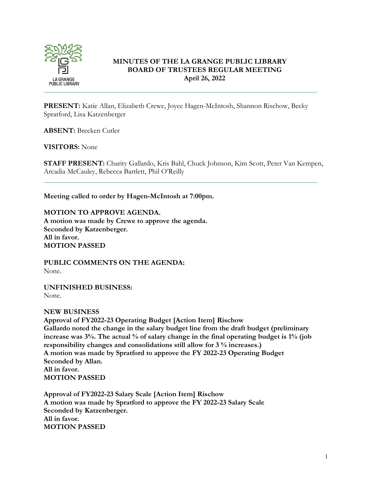

# **MINUTES OF THE LA GRANGE PUBLIC LIBRARY BOARD OF TRUSTEES REGULAR MEETING April 26, 2022**

**PRESENT:** Katie Allan, Elizabeth Crewe, Joyce Hagen-McIntosh, Shannon Rischow, Becky Spratford, Lisa Katzenberger

**ABSENT:** Brecken Cutler

**VISITORS:** None

**STAFF PRESENT:** Charity Gallardo, Kris Bahl, Chuck Johnson, Kim Scott, Peter Van Kempen, Arcadia McCauley, Rebecca Bartlett, Phil O'Reilly

\_\_\_\_\_\_\_\_\_\_\_\_\_\_\_\_\_\_\_\_\_\_\_\_\_\_\_\_\_\_\_\_\_\_\_\_\_\_\_\_\_\_\_\_\_\_\_\_\_\_\_\_\_\_\_\_\_\_\_\_\_\_\_\_\_\_\_\_\_\_\_\_\_\_\_

**Meeting called to order by Hagen-McIntosh at 7:00pm.**

**MOTION TO APPROVE AGENDA. A motion was made by Crewe to approve the agenda. Seconded by Katzenberger. All in favor. MOTION PASSED**

**PUBLIC COMMENTS ON THE AGENDA:**  None.

**UNFINISHED BUSINESS:** None.

## **NEW BUSINESS**

**Approval of FY2022-23 Operating Budget [Action Item] Rischow Gallardo noted the change in the salary budget line from the draft budget (preliminary increase was 3%. The actual % of salary change in the final operating budget is 1% (job responsibility changes and consolidations still allow for 3 % increases.) A motion was made by Spratford to approve the FY 2022-23 Operating Budget Seconded by Allan. All in favor. MOTION PASSED**

**Approval of FY2022-23 Salary Scale [Action Item] Rischow A motion was made by Spratford to approve the FY 2022-23 Salary Scale Seconded by Katzenberger. All in favor. MOTION PASSED**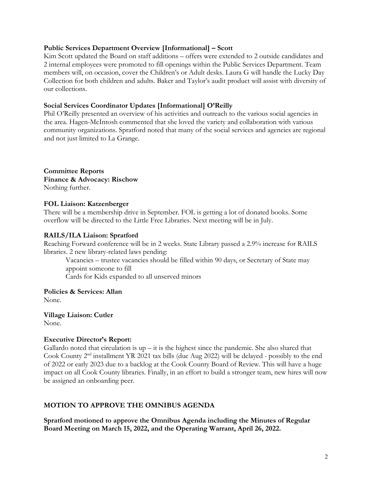### **Public Services Department Overview [Informational] – Scott**

Kim Scott updated the Board on staff additions – offers were extended to 2 outside candidates and 2 internal employees were promoted to fill openings within the Public Services Department. Team members will, on occasion, cover the Children's or Adult desks. Laura G will handle the Lucky Day Collection for both children and adults. Baker and Taylor's audit product will assist with diversity of our collections.

### **Social Services Coordinator Updates [Informational] O'Reilly**

Phil O'Reilly presented an overview of his activities and outreach to the various social agencies in the area. Hagen-McIntosh commented that she loved the variety and collaboration with various community organizations. Spratford noted that many of the social services and agencies are regional and not just limited to La Grange.

**Committee Reports Finance & Advocacy: Rischow** Nothing further.

#### **FOL Liaison: Katzenberger**

There will be a membership drive in September. FOL is getting a lot of donated books. Some overflow will be directed to the Little Free Libraries. Next meeting will be in July.

#### **RAILS/ILA Liaison: Spratford**

Reaching Forward conference will be in 2 weeks. State Library passed a 2.9% increase for RAILS libraries. 2 new library-related laws pending:

Vacancies – trustee vacancies should be filled within 90 days, or Secretary of State may appoint someone to fill

Cards for Kids expanded to all unserved minors

**Policies & Services: Allan** None.

**Village Liaison: Cutler** None.

## **Executive Director's Report:**

Gallardo noted that circulation is  $up - it$  is the highest since the pandemic. She also shared that Cook County 2nd installment YR 2021 tax bills (due Aug 2022) will be delayed - possibly to the end of 2022 or early 2023 due to a backlog at the Cook County Board of Review. This will have a huge impact on all Cook County libraries. Finally, in an effort to build a stronger team, new hires will now be assigned an onboarding peer.

## **MOTION TO APPROVE THE OMNIBUS AGENDA**

**Spratford motioned to approve the Omnibus Agenda including the Minutes of Regular Board Meeting on March 15, 2022, and the Operating Warrant, April 26, 2022.**